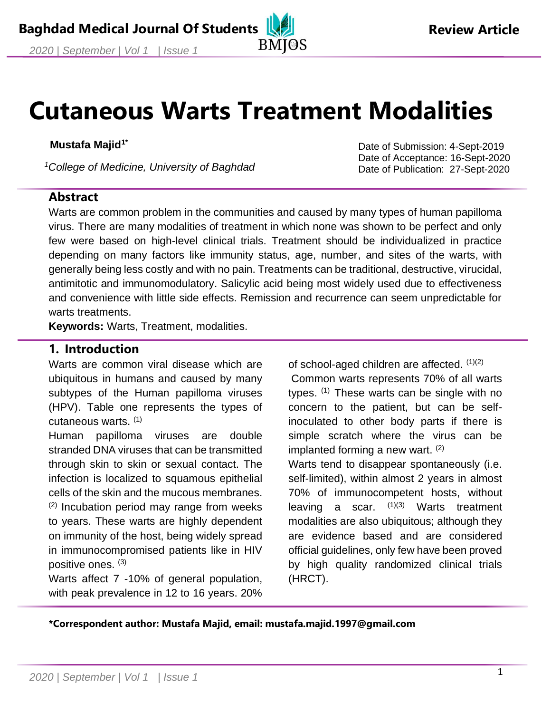# **Cutaneous Warts Treatment Modalities**

#### **Mustafa Majid1\***

*<sup>1</sup>College of Medicine, University of Baghdad*

#### Date of Submission: 4-Sept-2019 Date of Acceptance: 16-Sept-2020 Date of Publication: 27-Sept-2020

#### **Abstract**

Warts are common problem in the communities and caused by many types of human papilloma virus. There are many modalities of treatment in which none was shown to be perfect and only few were based on high-level clinical trials. Treatment should be individualized in practice depending on many factors like immunity status, age, number, and sites of the warts, with generally being less costly and with no pain. Treatments can be traditional, destructive, virucidal, antimitotic and immunomodulatory. Salicylic acid being most widely used due to effectiveness and convenience with little side effects. Remission and recurrence can seem unpredictable for warts treatments.

**Keywords:** Warts, Treatment, modalities.

#### **1. Introduction**

Warts are common viral disease which are ubiquitous in humans and caused by many subtypes of the Human papilloma viruses (HPV). Table one represents the types of cutaneous warts. (1)

Human papilloma viruses are double stranded DNA viruses that can be transmitted through skin to skin or sexual contact. The infection is localized to squamous epithelial cells of the skin and the mucous membranes.

(2) Incubation period may range from weeks to years. These warts are highly dependent on immunity of the host, being widely spread in immunocompromised patients like in HIV positive ones. (3)

Warts affect 7 -10% of general population, with peak prevalence in 12 to 16 years. 20% of school-aged children are affected.  $(1)(2)$ 

Common warts represents 70% of all warts types.  $(1)$  These warts can be single with no concern to the patient, but can be selfinoculated to other body parts if there is simple scratch where the virus can be implanted forming a new wart.  $(2)$ 

Warts tend to disappear spontaneously (i.e. self-limited), within almost 2 years in almost 70% of immunocompetent hosts, without leaving a scar. (1)(3) Warts treatment modalities are also ubiquitous; although they are evidence based and are considered official guidelines, only few have been proved by high quality randomized clinical trials (HRCT).

**\*Correspondent author: Mustafa Majid, email: mustafa.majid.1997@gmail.com**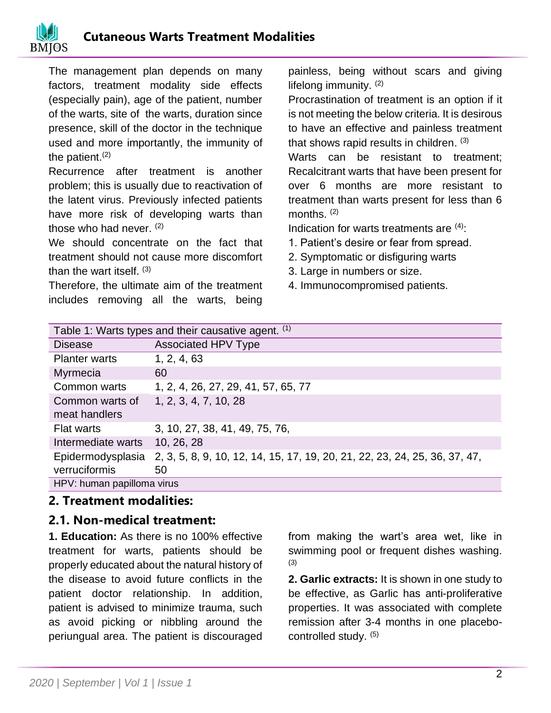

The management plan depends on many factors, treatment modality side effects (especially pain), age of the patient, number of the warts, site of the warts, duration since presence, skill of the doctor in the technique used and more importantly, the immunity of the patient. $(2)$ 

Recurrence after treatment is another problem; this is usually due to reactivation of the latent virus. Previously infected patients have more risk of developing warts than those who had never. (2)

We should concentrate on the fact that treatment should not cause more discomfort than the wart itself. (3)

Therefore, the ultimate aim of the treatment includes removing all the warts, being painless, being without scars and giving lifelong immunity. (2)

Procrastination of treatment is an option if it is not meeting the below criteria. It is desirous to have an effective and painless treatment that shows rapid results in children. <sup>(3)</sup>

Warts can be resistant to treatment; Recalcitrant warts that have been present for over 6 months are more resistant to treatment than warts present for less than 6 months. (2)

Indication for warts treatments are  $(4)$ :

- 1. Patient's desire or fear from spread.
- 2. Symptomatic or disfiguring warts
- 3. Large in numbers or size.
- 4. Immunocompromised patients.

| Table 1: Warts types and their causative agent. (1) |                                                                            |
|-----------------------------------------------------|----------------------------------------------------------------------------|
| <b>Disease</b>                                      | <b>Associated HPV Type</b>                                                 |
| <b>Planter warts</b>                                | 1, 2, 4, 63                                                                |
| Myrmecia                                            | 60                                                                         |
| Common warts                                        | 1, 2, 4, 26, 27, 29, 41, 57, 65, 77                                        |
| Common warts of                                     | 1, 2, 3, 4, 7, 10, 28                                                      |
| meat handlers                                       |                                                                            |
| <b>Flat warts</b>                                   | 3, 10, 27, 38, 41, 49, 75, 76,                                             |
| Intermediate warts                                  | 10, 26, 28                                                                 |
| Epidermodysplasia                                   | 2, 3, 5, 8, 9, 10, 12, 14, 15, 17, 19, 20, 21, 22, 23, 24, 25, 36, 37, 47, |
| verruciformis                                       | 50                                                                         |
| HPV: human papilloma virus                          |                                                                            |

#### **2. Treatment modalities:**

#### **2.1. Non-medical treatment:**

**1. Education:** As there is no 100% effective treatment for warts, patients should be properly educated about the natural history of the disease to avoid future conflicts in the patient doctor relationship. In addition, patient is advised to minimize trauma, such as avoid picking or nibbling around the periungual area. The patient is discouraged

from making the wart's area wet, like in swimming pool or frequent dishes washing. (3)

**2. Garlic extracts:** It is shown in one study to be effective, as Garlic has anti-proliferative properties. It was associated with complete remission after 3-4 months in one placebocontrolled study. (5)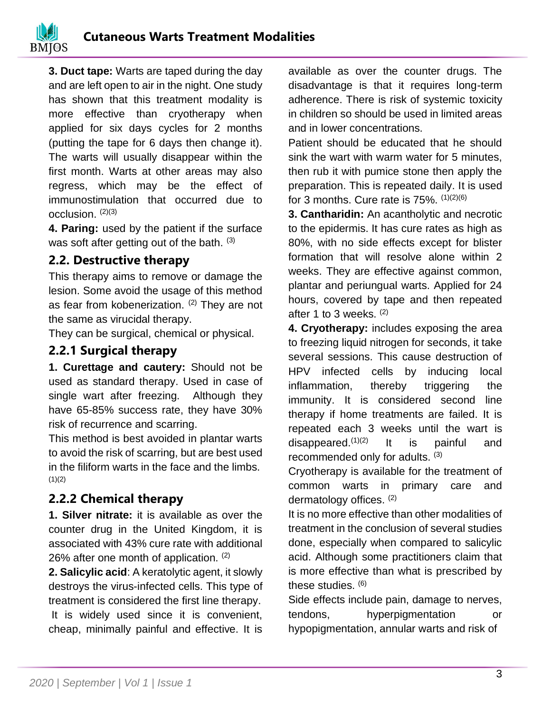**3. Duct tape:** Warts are taped during the day and are left open to air in the night. One study has shown that this treatment modality is more effective than cryotherapy when applied for six days cycles for 2 months (putting the tape for 6 days then change it). The warts will usually disappear within the first month. Warts at other areas may also regress, which may be the effect of immunostimulation that occurred due to occlusion. (2)(3)

**4. Paring:** used by the patient if the surface was soft after getting out of the bath. (3)

## **2.2. Destructive therapy**

This therapy aims to remove or damage the lesion. Some avoid the usage of this method as fear from kobenerization. <sup>(2)</sup> They are not the same as virucidal therapy.

They can be surgical, chemical or physical.

## **2.2.1 Surgical therapy**

**1. Curettage and cautery:** Should not be used as standard therapy. Used in case of single wart after freezing. Although they have 65-85% success rate, they have 30% risk of recurrence and scarring.

This method is best avoided in plantar warts to avoid the risk of scarring, but are best used in the filiform warts in the face and the limbs.  $(1)(2)$ 

## **2.2.2 Chemical therapy**

**1. Silver nitrate:** it is available as over the counter drug in the United Kingdom, it is associated with 43% cure rate with additional 26% after one month of application. (2)

**2. Salicylic acid**: A keratolytic agent, it slowly destroys the virus-infected cells. This type of treatment is considered the first line therapy. It is widely used since it is convenient,

cheap, minimally painful and effective. It is

available as over the counter drugs. The disadvantage is that it requires long-term adherence. There is risk of systemic toxicity in children so should be used in limited areas and in lower concentrations.

Patient should be educated that he should sink the wart with warm water for 5 minutes, then rub it with pumice stone then apply the preparation. This is repeated daily. It is used for 3 months. Cure rate is  $75\%$ .  $(1)(2)(6)$ 

**3. Cantharidin:** An acantholytic and necrotic to the epidermis. It has cure rates as high as 80%, with no side effects except for blister formation that will resolve alone within 2 weeks. They are effective against common, plantar and periungual warts. Applied for 24 hours, covered by tape and then repeated after 1 to 3 weeks.  $(2)$ 

**4. Cryotherapy:** includes exposing the area to freezing liquid nitrogen for seconds, it take several sessions. This cause destruction of HPV infected cells by inducing local inflammation, thereby triggering the immunity. It is considered second line therapy if home treatments are failed. It is repeated each 3 weeks until the wart is disappeared. $(1)(2)$  It is painful and recommended only for adults. (3)

Cryotherapy is available for the treatment of common warts in primary care and dermatology offices. (2)

It is no more effective than other modalities of treatment in the conclusion of several studies done, especially when compared to salicylic acid. Although some practitioners claim that is more effective than what is prescribed by these studies. (6)

Side effects include pain, damage to nerves, tendons, hyperpigmentation or hypopigmentation, annular warts and risk of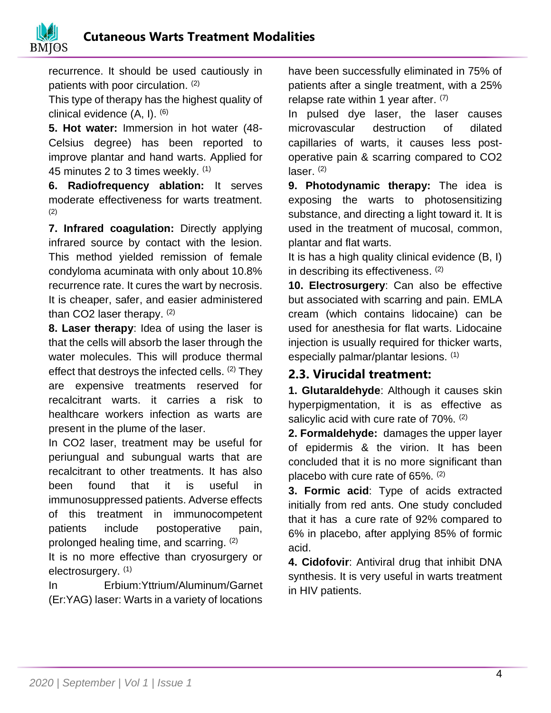

recurrence. It should be used cautiously in patients with poor circulation. (2)

This type of therapy has the highest quality of clinical evidence  $(A, I)$ .  $(6)$ 

**5. Hot water:** Immersion in hot water (48- Celsius degree) has been reported to improve plantar and hand warts. Applied for 45 minutes 2 to 3 times weekly. (1)

**6. Radiofrequency ablation:** It serves moderate effectiveness for warts treatment. (2)

**7. Infrared coagulation:** Directly applying infrared source by contact with the lesion. This method yielded remission of female condyloma acuminata with only about 10.8% recurrence rate. It cures the wart by necrosis. It is cheaper, safer, and easier administered than CO2 laser therapy. (2)

**8. Laser therapy**: Idea of using the laser is that the cells will absorb the laser through the water molecules. This will produce thermal effect that destroys the infected cells.  $(2)$  They are expensive treatments reserved for recalcitrant warts. it carries a risk to healthcare workers infection as warts are present in the plume of the laser.

In CO2 laser, treatment may be useful for periungual and subungual warts that are recalcitrant to other treatments. It has also been found that it is useful in immunosuppressed patients. Adverse effects of this treatment in immunocompetent patients include postoperative pain, prolonged healing time, and scarring. (2)

It is no more effective than cryosurgery or electrosurgery. (1)

In Erbium:Yttrium/Aluminum/Garnet (Er:YAG) laser: Warts in a variety of locations have been successfully eliminated in 75% of patients after a single treatment, with a 25% relapse rate within 1 year after.  $(7)$ 

In pulsed dye laser, the laser causes microvascular destruction of dilated capillaries of warts, it causes less postoperative pain & scarring compared to CO2 laser.  $(2)$ 

**9. Photodynamic therapy:** The idea is exposing the warts to photosensitizing substance, and directing a light toward it. It is used in the treatment of mucosal, common, plantar and flat warts.

It is has a high quality clinical evidence (B, I) in describing its effectiveness. (2)

**10. Electrosurgery**: Can also be effective but associated with scarring and pain. EMLA cream (which contains lidocaine) can be used for anesthesia for flat warts. Lidocaine injection is usually required for thicker warts, especially palmar/plantar lesions. (1)

## **2.3. Virucidal treatment:**

**1. Glutaraldehyde**: Although it causes skin hyperpigmentation, it is as effective as salicylic acid with cure rate of 70%. (2)

**2. Formaldehyde:** damages the upper layer of epidermis & the virion. It has been concluded that it is no more significant than placebo with cure rate of 65%. (2)

**3. Formic acid**: Type of acids extracted initially from red ants. One study concluded that it has a cure rate of 92% compared to 6% in placebo, after applying 85% of formic acid.

**4. Cidofovir**: Antiviral drug that inhibit DNA synthesis. It is very useful in warts treatment in HIV patients.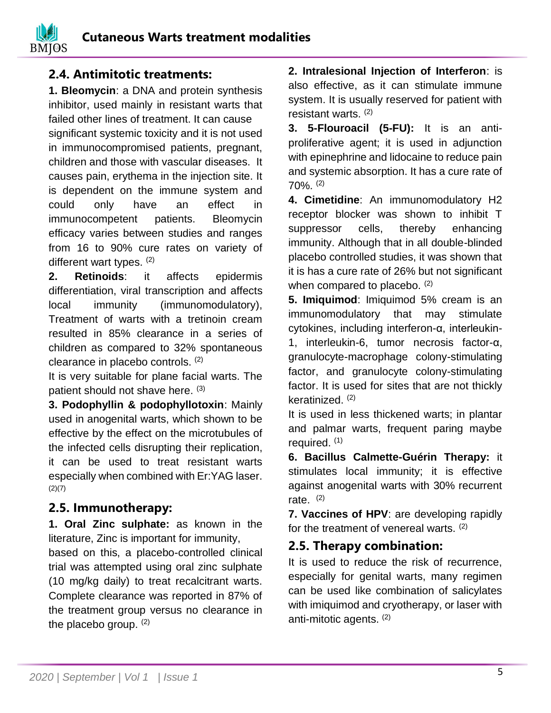

#### **2.4. Antimitotic treatments:**

**1. Bleomycin**: a DNA and protein synthesis inhibitor, used mainly in resistant warts that failed other lines of treatment. It can cause significant systemic toxicity and it is not used in immunocompromised patients, pregnant, children and those with vascular diseases. It causes pain, erythema in the injection site. It is dependent on the immune system and could only have an effect in immunocompetent patients. Bleomycin efficacy varies between studies and ranges from 16 to 90% cure rates on variety of different wart types. (2)

**2. Retinoids**: it affects epidermis differentiation, viral transcription and affects local immunity (immunomodulatory), Treatment of warts with a tretinoin cream resulted in 85% clearance in a series of children as compared to 32% spontaneous clearance in placebo controls. (2)

It is very suitable for plane facial warts. The patient should not shave here. (3)

**3. Podophyllin & podophyllotoxin**: Mainly used in anogenital warts, which shown to be effective by the effect on the microtubules of the infected cells disrupting their replication, it can be used to treat resistant warts especially when combined with Er:YAG laser.  $(2)(7)$ 

## **2.5. Immunotherapy:**

**1. Oral Zinc sulphate:** as known in the literature, Zinc is important for immunity,

based on this, a placebo-controlled clinical trial was attempted using oral zinc sulphate (10 mg/kg daily) to treat recalcitrant warts. Complete clearance was reported in 87% of the treatment group versus no clearance in the placebo group. (2)

**2. Intralesional Injection of Interferon**: is also effective, as it can stimulate immune system. It is usually reserved for patient with resistant warts. (2)

**3. 5-Flouroacil (5-FU):** It is an antiproliferative agent; it is used in adjunction with epinephrine and lidocaine to reduce pain and systemic absorption. It has a cure rate of  $70\%$ <sup>(2)</sup>

**4. Cimetidine**: An immunomodulatory H2 receptor blocker was shown to inhibit T suppressor cells, thereby enhancing immunity. Although that in all double-blinded placebo controlled studies, it was shown that it is has a cure rate of 26% but not significant when compared to placebo. (2)

**5. Imiquimod**: Imiquimod 5% cream is an immunomodulatory that may stimulate cytokines, including interferon-α, interleukin-1, interleukin-6, tumor necrosis factor-α, granulocyte-macrophage colony-stimulating factor, and granulocyte colony-stimulating factor. It is used for sites that are not thickly keratinized. (2)

It is used in less thickened warts; in plantar and palmar warts, frequent paring maybe required.  $(1)$ 

**6. Bacillus Calmette-Guérin Therapy:** it stimulates local immunity; it is effective against anogenital warts with 30% recurrent rate.  $(2)$ 

**7. Vaccines of HPV**: are developing rapidly for the treatment of venereal warts. (2)

## **2.5. Therapy combination:**

It is used to reduce the risk of recurrence, especially for genital warts, many regimen can be used like combination of salicylates with imiquimod and cryotherapy, or laser with anti-mitotic agents. (2)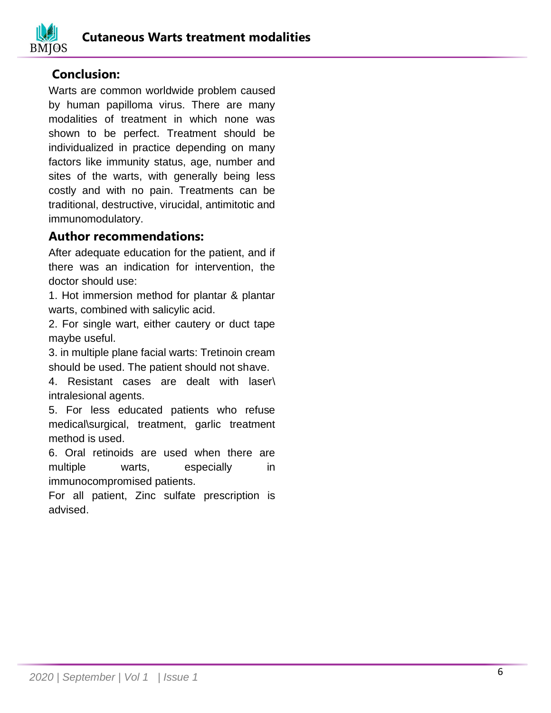

## **Conclusion:**

Warts are common worldwide problem caused by human papilloma virus. There are many modalities of treatment in which none was shown to be perfect. Treatment should be individualized in practice depending on many factors like immunity status, age, number and sites of the warts, with generally being less costly and with no pain. Treatments can be traditional, destructive, virucidal, antimitotic and immunomodulatory.

#### **Author recommendations:**

After adequate education for the patient, and if there was an indication for intervention, the doctor should use:

1. Hot immersion method for plantar & plantar warts, combined with salicylic acid.

2. For single wart, either cautery or duct tape maybe useful.

3. in multiple plane facial warts: Tretinoin cream should be used. The patient should not shave.

4. Resistant cases are dealt with laser\ intralesional agents.

5. For less educated patients who refuse medical\surgical, treatment, garlic treatment method is used.

6. Oral retinoids are used when there are multiple warts, especially in immunocompromised patients.

For all patient, Zinc sulfate prescription is advised.